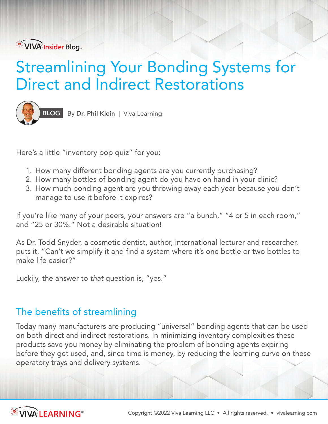VIVA Insider Blog.

# Streamlining Your Bonding Systems for Direct and Indirect Restorations



BLOG By Dr. Phil Klein | Viva Learning

Here's a little "inventory pop quiz" for you:

- 1. How many different bonding agents are you currently purchasing?
- 2. How many bottles of bonding agent do you have on hand in your clinic?
- 3. How much bonding agent are you throwing away each year because you don't manage to use it before it expires?

If you're like many of your peers, your answers are "a bunch," "4 or 5 in each room," and "25 or 30%." Not a desirable situation!

As Dr. Todd Snyder, a cosmetic dentist, author, international lecturer and researcher, puts it, "Can't we simplify it and find a system where it's one bottle or two bottles to make life easier?"

Luckily, the answer to *that* question is, "yes."

# The benefits of streamlining

Today many manufacturers are producing "universal" bonding agents that can be used on both direct and indirect restorations. In minimizing inventory complexities these products save you money by eliminating the problem of bonding agents expiring before they get used, and, since time is money, by reducing the learning curve on these operatory trays and delivery systems.

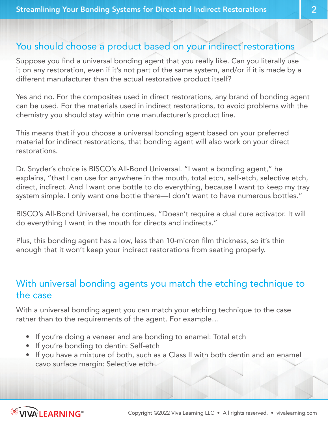### You should choose a product based on your indirect restorations

Suppose you find a universal bonding agent that you really like. Can you literally use it on any restoration, even if it's not part of the same system, and/or if it is made by a different manufacturer than the actual restorative product itself?

Yes and no. For the composites used in direct restorations, any brand of bonding agent can be used. For the materials used in indirect restorations, to avoid problems with the chemistry you should stay within one manufacturer's product line.

This means that if you choose a universal bonding agent based on your preferred material for indirect restorations, that bonding agent will also work on your direct restorations.

Dr. Snyder's choice is BISCO's All-Bond Universal. "I want a bonding agent," he explains, "that I can use for anywhere in the mouth, total etch, self-etch, selective etch, direct, indirect. And I want one bottle to do everything, because I want to keep my tray system simple. I only want one bottle there—I don't want to have numerous bottles."

BISCO's All-Bond Universal, he continues, "Doesn't require a dual cure activator. It will do everything I want in the mouth for directs and indirects."

Plus, this bonding agent has a low, less than 10-micron film thickness, so it's thin enough that it won't keep your indirect restorations from seating properly.

# With universal bonding agents you match the etching technique to the case

With a universal bonding agent you can match your etching technique to the case rather than to the requirements of the agent. For example…

- If you're doing a veneer and are bonding to enamel: Total etch
- If you're bonding to dentin: Self-etch
- If you have a mixture of both, such as a Class II with both dentin and an enamel cavo surface margin: Selective etch